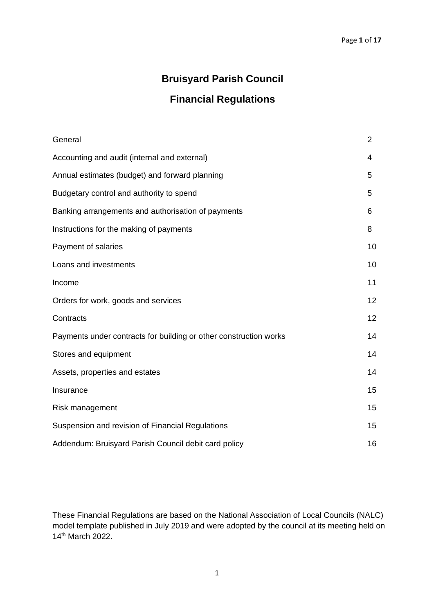# **Bruisyard Parish Council**

# **Financial Regulations**

| General                                                           | $\overline{2}$  |
|-------------------------------------------------------------------|-----------------|
| Accounting and audit (internal and external)                      | 4               |
| Annual estimates (budget) and forward planning                    | 5               |
| Budgetary control and authority to spend                          | 5               |
| Banking arrangements and authorisation of payments                | 6               |
| Instructions for the making of payments                           | 8               |
| Payment of salaries                                               | 10              |
| Loans and investments                                             | 10              |
| Income                                                            | 11              |
| Orders for work, goods and services                               | 12              |
| Contracts                                                         | 12 <sub>2</sub> |
| Payments under contracts for building or other construction works | 14              |
| Stores and equipment                                              | 14              |
| Assets, properties and estates                                    | 14              |
| Insurance                                                         | 15              |
| Risk management                                                   | 15              |
| Suspension and revision of Financial Regulations                  | 15              |
| Addendum: Bruisyard Parish Council debit card policy              | 16              |

These Financial Regulations are based on the National Association of Local Councils (NALC) model template published in July 2019 and were adopted by the council at its meeting held on 14th March 2022.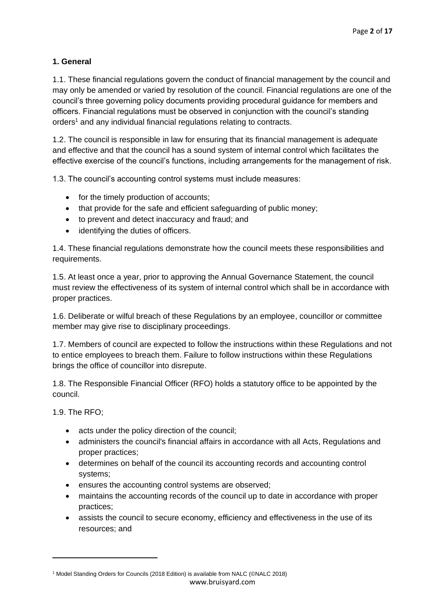# **1. General**

1.1. These financial regulations govern the conduct of financial management by the council and may only be amended or varied by resolution of the council. Financial regulations are one of the council's three governing policy documents providing procedural guidance for members and officers. Financial regulations must be observed in conjunction with the council's standing orders<sup>1</sup> and any individual financial regulations relating to contracts.

1.2. The council is responsible in law for ensuring that its financial management is adequate and effective and that the council has a sound system of internal control which facilitates the effective exercise of the council's functions, including arrangements for the management of risk.

1.3. The council's accounting control systems must include measures:

- for the timely production of accounts;
- that provide for the safe and efficient safeguarding of public money;
- to prevent and detect inaccuracy and fraud; and
- identifying the duties of officers.

1.4. These financial regulations demonstrate how the council meets these responsibilities and requirements.

1.5. At least once a year, prior to approving the Annual Governance Statement, the council must review the effectiveness of its system of internal control which shall be in accordance with proper practices.

1.6. Deliberate or wilful breach of these Regulations by an employee, councillor or committee member may give rise to disciplinary proceedings.

1.7. Members of council are expected to follow the instructions within these Regulations and not to entice employees to breach them. Failure to follow instructions within these Regulations brings the office of councillor into disrepute.

1.8. The Responsible Financial Officer (RFO) holds a statutory office to be appointed by the council.

1.9. The RFO;

- acts under the policy direction of the council;
- administers the council's financial affairs in accordance with all Acts, Regulations and proper practices;
- determines on behalf of the council its accounting records and accounting control systems;
- ensures the accounting control systems are observed;
- maintains the accounting records of the council up to date in accordance with proper practices;
- assists the council to secure economy, efficiency and effectiveness in the use of its resources; and

www.bruisyard.com <sup>1</sup> Model Standing Orders for Councils (2018 Edition) is available from NALC (©NALC 2018)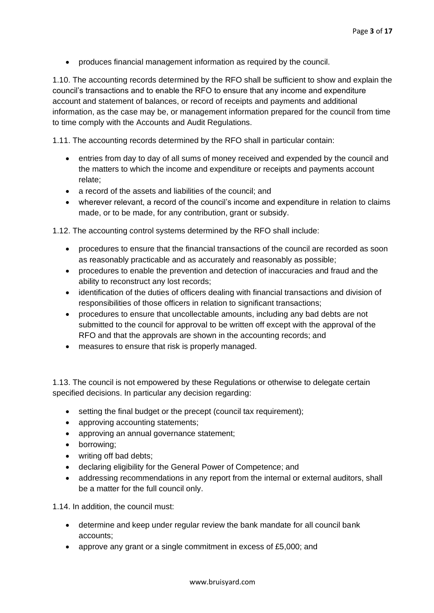• produces financial management information as required by the council.

1.10. The accounting records determined by the RFO shall be sufficient to show and explain the council's transactions and to enable the RFO to ensure that any income and expenditure account and statement of balances, or record of receipts and payments and additional information, as the case may be, or management information prepared for the council from time to time comply with the Accounts and Audit Regulations.

1.11. The accounting records determined by the RFO shall in particular contain:

- entries from day to day of all sums of money received and expended by the council and the matters to which the income and expenditure or receipts and payments account relate;
- a record of the assets and liabilities of the council; and
- wherever relevant, a record of the council's income and expenditure in relation to claims made, or to be made, for any contribution, grant or subsidy.

1.12. The accounting control systems determined by the RFO shall include:

- procedures to ensure that the financial transactions of the council are recorded as soon as reasonably practicable and as accurately and reasonably as possible;
- procedures to enable the prevention and detection of inaccuracies and fraud and the ability to reconstruct any lost records;
- identification of the duties of officers dealing with financial transactions and division of responsibilities of those officers in relation to significant transactions;
- procedures to ensure that uncollectable amounts, including any bad debts are not submitted to the council for approval to be written off except with the approval of the RFO and that the approvals are shown in the accounting records; and
- measures to ensure that risk is properly managed.

1.13. The council is not empowered by these Regulations or otherwise to delegate certain specified decisions. In particular any decision regarding:

- setting the final budget or the precept (council tax requirement);
- approving accounting statements;
- approving an annual governance statement;
- borrowing;
- writing off bad debts;
- declaring eligibility for the General Power of Competence; and
- addressing recommendations in any report from the internal or external auditors, shall be a matter for the full council only.

1.14. In addition, the council must:

- determine and keep under regular review the bank mandate for all council bank accounts;
- approve any grant or a single commitment in excess of £5,000; and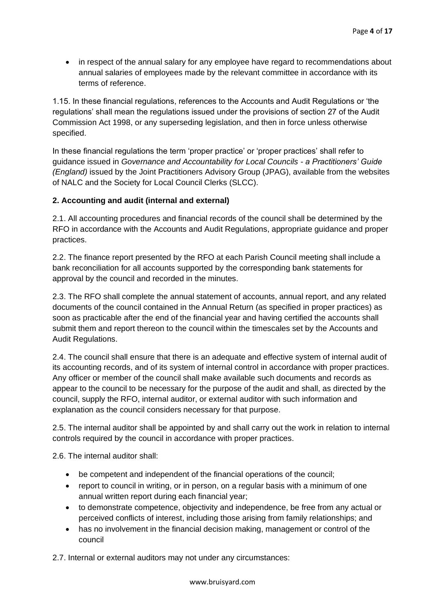• in respect of the annual salary for any employee have regard to recommendations about annual salaries of employees made by the relevant committee in accordance with its terms of reference.

1.15. In these financial regulations, references to the Accounts and Audit Regulations or 'the regulations' shall mean the regulations issued under the provisions of section 27 of the Audit Commission Act 1998, or any superseding legislation, and then in force unless otherwise specified.

In these financial regulations the term 'proper practice' or 'proper practices' shall refer to guidance issued in *Governance and Accountability for Local Councils - a Practitioners' Guide (England)* issued by the Joint Practitioners Advisory Group (JPAG), available from the websites of NALC and the Society for Local Council Clerks (SLCC).

## **2. Accounting and audit (internal and external)**

2.1. All accounting procedures and financial records of the council shall be determined by the RFO in accordance with the Accounts and Audit Regulations, appropriate guidance and proper practices.

2.2. The finance report presented by the RFO at each Parish Council meeting shall include a bank reconciliation for all accounts supported by the corresponding bank statements for approval by the council and recorded in the minutes.

2.3. The RFO shall complete the annual statement of accounts, annual report, and any related documents of the council contained in the Annual Return (as specified in proper practices) as soon as practicable after the end of the financial year and having certified the accounts shall submit them and report thereon to the council within the timescales set by the Accounts and Audit Regulations.

2.4. The council shall ensure that there is an adequate and effective system of internal audit of its accounting records, and of its system of internal control in accordance with proper practices. Any officer or member of the council shall make available such documents and records as appear to the council to be necessary for the purpose of the audit and shall, as directed by the council, supply the RFO, internal auditor, or external auditor with such information and explanation as the council considers necessary for that purpose.

2.5. The internal auditor shall be appointed by and shall carry out the work in relation to internal controls required by the council in accordance with proper practices.

2.6. The internal auditor shall:

- be competent and independent of the financial operations of the council;
- report to council in writing, or in person, on a regular basis with a minimum of one annual written report during each financial year;
- to demonstrate competence, objectivity and independence, be free from any actual or perceived conflicts of interest, including those arising from family relationships; and
- has no involvement in the financial decision making, management or control of the council

2.7. Internal or external auditors may not under any circumstances: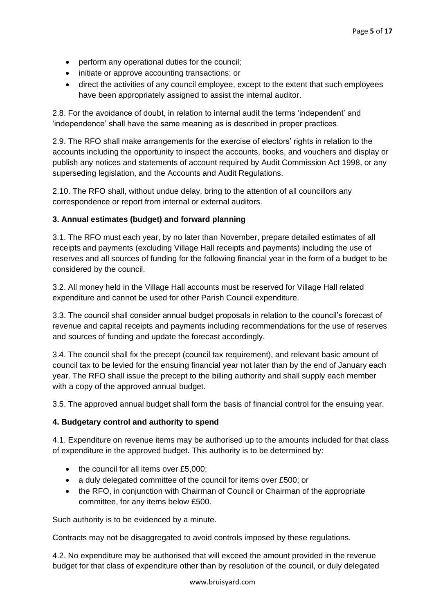- perform any operational duties for the council;
- initiate or approve accounting transactions; or
- direct the activities of any council employee, except to the extent that such employees have been appropriately assigned to assist the internal auditor.

2.8. For the avoidance of doubt, in relation to internal audit the terms 'independent' and 'independence' shall have the same meaning as is described in proper practices.

2.9. The RFO shall make arrangements for the exercise of electors' rights in relation to the accounts including the opportunity to inspect the accounts, books, and vouchers and display or publish any notices and statements of account required by Audit Commission Act 1998, or any superseding legislation, and the Accounts and Audit Regulations.

2.10. The RFO shall, without undue delay, bring to the attention of all councillors any correspondence or report from internal or external auditors.

# **3. Annual estimates (budget) and forward planning**

3.1. The RFO must each year, by no later than November, prepare detailed estimates of all receipts and payments (excluding Village Hall receipts and payments) including the use of reserves and all sources of funding for the following financial year in the form of a budget to be considered by the council.

3.2. All money held in the Village Hall accounts must be reserved for Village Hall related expenditure and cannot be used for other Parish Council expenditure.

3.3. The council shall consider annual budget proposals in relation to the council's forecast of revenue and capital receipts and payments including recommendations for the use of reserves and sources of funding and update the forecast accordingly.

3.4. The council shall fix the precept (council tax requirement), and relevant basic amount of council tax to be levied for the ensuing financial year not later than by the end of January each year. The RFO shall issue the precept to the billing authority and shall supply each member with a copy of the approved annual budget.

3.5. The approved annual budget shall form the basis of financial control for the ensuing year.

#### **4. Budgetary control and authority to spend**

4.1. Expenditure on revenue items may be authorised up to the amounts included for that class of expenditure in the approved budget. This authority is to be determined by:

- the council for all items over £5,000;
- a duly delegated committee of the council for items over £500; or
- the RFO, in conjunction with Chairman of Council or Chairman of the appropriate committee, for any items below £500.

Such authority is to be evidenced by a minute.

Contracts may not be disaggregated to avoid controls imposed by these regulations.

4.2. No expenditure may be authorised that will exceed the amount provided in the revenue budget for that class of expenditure other than by resolution of the council, or duly delegated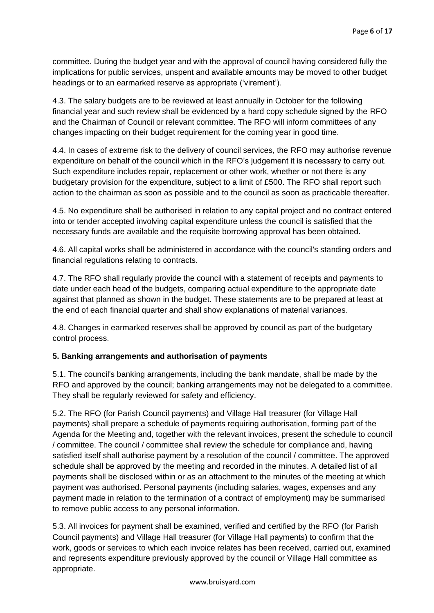committee. During the budget year and with the approval of council having considered fully the implications for public services, unspent and available amounts may be moved to other budget headings or to an earmarked reserve as appropriate ('virement').

4.3. The salary budgets are to be reviewed at least annually in October for the following financial year and such review shall be evidenced by a hard copy schedule signed by the RFO and the Chairman of Council or relevant committee. The RFO will inform committees of any changes impacting on their budget requirement for the coming year in good time.

4.4. In cases of extreme risk to the delivery of council services, the RFO may authorise revenue expenditure on behalf of the council which in the RFO's judgement it is necessary to carry out. Such expenditure includes repair, replacement or other work, whether or not there is any budgetary provision for the expenditure, subject to a limit of £500. The RFO shall report such action to the chairman as soon as possible and to the council as soon as practicable thereafter.

4.5. No expenditure shall be authorised in relation to any capital project and no contract entered into or tender accepted involving capital expenditure unless the council is satisfied that the necessary funds are available and the requisite borrowing approval has been obtained.

4.6. All capital works shall be administered in accordance with the council's standing orders and financial regulations relating to contracts.

4.7. The RFO shall regularly provide the council with a statement of receipts and payments to date under each head of the budgets, comparing actual expenditure to the appropriate date against that planned as shown in the budget. These statements are to be prepared at least at the end of each financial quarter and shall show explanations of material variances.

4.8. Changes in earmarked reserves shall be approved by council as part of the budgetary control process.

# **5. Banking arrangements and authorisation of payments**

5.1. The council's banking arrangements, including the bank mandate, shall be made by the RFO and approved by the council; banking arrangements may not be delegated to a committee. They shall be regularly reviewed for safety and efficiency.

5.2. The RFO (for Parish Council payments) and Village Hall treasurer (for Village Hall payments) shall prepare a schedule of payments requiring authorisation, forming part of the Agenda for the Meeting and, together with the relevant invoices, present the schedule to council / committee. The council / committee shall review the schedule for compliance and, having satisfied itself shall authorise payment by a resolution of the council / committee. The approved schedule shall be approved by the meeting and recorded in the minutes. A detailed list of all payments shall be disclosed within or as an attachment to the minutes of the meeting at which payment was authorised. Personal payments (including salaries, wages, expenses and any payment made in relation to the termination of a contract of employment) may be summarised to remove public access to any personal information.

5.3. All invoices for payment shall be examined, verified and certified by the RFO (for Parish Council payments) and Village Hall treasurer (for Village Hall payments) to confirm that the work, goods or services to which each invoice relates has been received, carried out, examined and represents expenditure previously approved by the council or Village Hall committee as appropriate.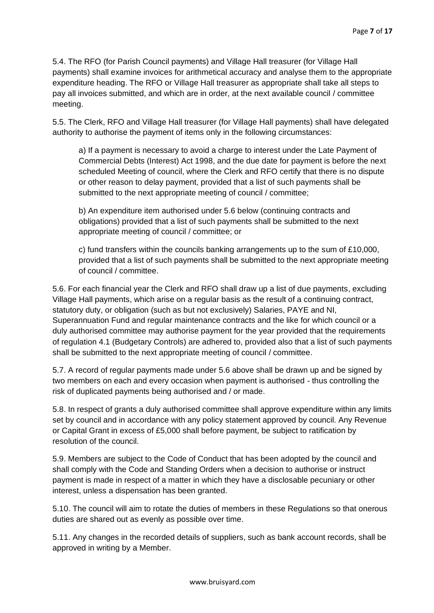5.4. The RFO (for Parish Council payments) and Village Hall treasurer (for Village Hall payments) shall examine invoices for arithmetical accuracy and analyse them to the appropriate expenditure heading. The RFO or Village Hall treasurer as appropriate shall take all steps to pay all invoices submitted, and which are in order, at the next available council / committee meeting.

5.5. The Clerk, RFO and Village Hall treasurer (for Village Hall payments) shall have delegated authority to authorise the payment of items only in the following circumstances:

a) If a payment is necessary to avoid a charge to interest under the Late Payment of Commercial Debts (Interest) Act 1998, and the due date for payment is before the next scheduled Meeting of council, where the Clerk and RFO certify that there is no dispute or other reason to delay payment, provided that a list of such payments shall be submitted to the next appropriate meeting of council / committee;

b) An expenditure item authorised under 5.6 below (continuing contracts and obligations) provided that a list of such payments shall be submitted to the next appropriate meeting of council / committee; or

c) fund transfers within the councils banking arrangements up to the sum of £10,000, provided that a list of such payments shall be submitted to the next appropriate meeting of council / committee.

5.6. For each financial year the Clerk and RFO shall draw up a list of due payments, excluding Village Hall payments, which arise on a regular basis as the result of a continuing contract, statutory duty, or obligation (such as but not exclusively) Salaries, PAYE and NI, Superannuation Fund and regular maintenance contracts and the like for which council or a duly authorised committee may authorise payment for the year provided that the requirements of regulation 4.1 (Budgetary Controls) are adhered to, provided also that a list of such payments shall be submitted to the next appropriate meeting of council / committee.

5.7. A record of regular payments made under 5.6 above shall be drawn up and be signed by two members on each and every occasion when payment is authorised - thus controlling the risk of duplicated payments being authorised and / or made.

5.8. In respect of grants a duly authorised committee shall approve expenditure within any limits set by council and in accordance with any policy statement approved by council. Any Revenue or Capital Grant in excess of £5,000 shall before payment, be subject to ratification by resolution of the council.

5.9. Members are subject to the Code of Conduct that has been adopted by the council and shall comply with the Code and Standing Orders when a decision to authorise or instruct payment is made in respect of a matter in which they have a disclosable pecuniary or other interest, unless a dispensation has been granted.

5.10. The council will aim to rotate the duties of members in these Regulations so that onerous duties are shared out as evenly as possible over time.

5.11. Any changes in the recorded details of suppliers, such as bank account records, shall be approved in writing by a Member.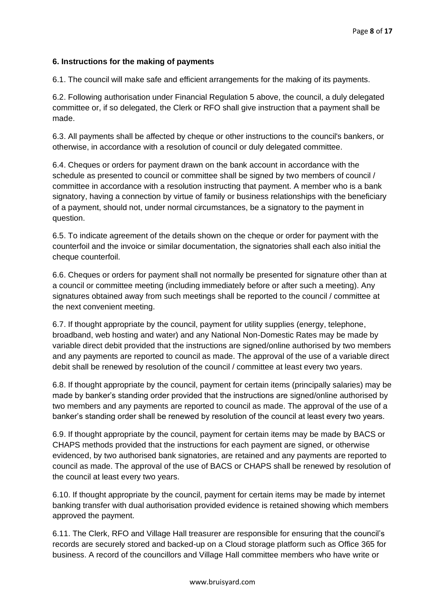## **6. Instructions for the making of payments**

6.1. The council will make safe and efficient arrangements for the making of its payments.

6.2. Following authorisation under Financial Regulation 5 above, the council, a duly delegated committee or, if so delegated, the Clerk or RFO shall give instruction that a payment shall be made.

6.3. All payments shall be affected by cheque or other instructions to the council's bankers, or otherwise, in accordance with a resolution of council or duly delegated committee.

6.4. Cheques or orders for payment drawn on the bank account in accordance with the schedule as presented to council or committee shall be signed by two members of council / committee in accordance with a resolution instructing that payment. A member who is a bank signatory, having a connection by virtue of family or business relationships with the beneficiary of a payment, should not, under normal circumstances, be a signatory to the payment in question.

6.5. To indicate agreement of the details shown on the cheque or order for payment with the counterfoil and the invoice or similar documentation, the signatories shall each also initial the cheque counterfoil.

6.6. Cheques or orders for payment shall not normally be presented for signature other than at a council or committee meeting (including immediately before or after such a meeting). Any signatures obtained away from such meetings shall be reported to the council / committee at the next convenient meeting.

6.7. If thought appropriate by the council, payment for utility supplies (energy, telephone, broadband, web hosting and water) and any National Non-Domestic Rates may be made by variable direct debit provided that the instructions are signed/online authorised by two members and any payments are reported to council as made. The approval of the use of a variable direct debit shall be renewed by resolution of the council / committee at least every two years.

6.8. If thought appropriate by the council, payment for certain items (principally salaries) may be made by banker's standing order provided that the instructions are signed/online authorised by two members and any payments are reported to council as made. The approval of the use of a banker's standing order shall be renewed by resolution of the council at least every two years.

6.9. If thought appropriate by the council, payment for certain items may be made by BACS or CHAPS methods provided that the instructions for each payment are signed, or otherwise evidenced, by two authorised bank signatories, are retained and any payments are reported to council as made. The approval of the use of BACS or CHAPS shall be renewed by resolution of the council at least every two years.

6.10. If thought appropriate by the council, payment for certain items may be made by internet banking transfer with dual authorisation provided evidence is retained showing which members approved the payment.

6.11. The Clerk, RFO and Village Hall treasurer are responsible for ensuring that the council's records are securely stored and backed-up on a Cloud storage platform such as Office 365 for business. A record of the councillors and Village Hall committee members who have write or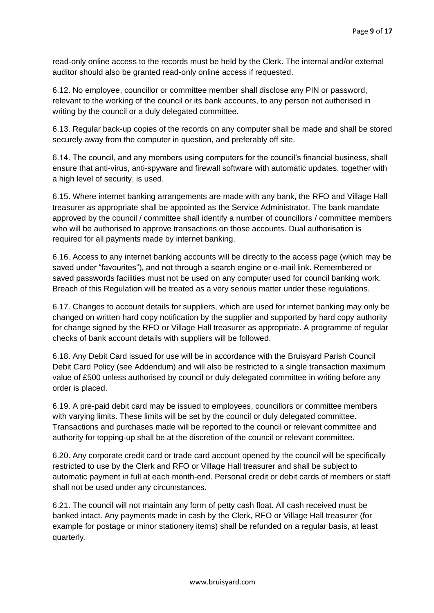read-only online access to the records must be held by the Clerk. The internal and/or external auditor should also be granted read-only online access if requested.

6.12. No employee, councillor or committee member shall disclose any PIN or password, relevant to the working of the council or its bank accounts, to any person not authorised in writing by the council or a duly delegated committee.

6.13. Regular back-up copies of the records on any computer shall be made and shall be stored securely away from the computer in question, and preferably off site.

6.14. The council, and any members using computers for the council's financial business, shall ensure that anti-virus, anti-spyware and firewall software with automatic updates, together with a high level of security, is used.

6.15. Where internet banking arrangements are made with any bank, the RFO and Village Hall treasurer as appropriate shall be appointed as the Service Administrator. The bank mandate approved by the council / committee shall identify a number of councillors / committee members who will be authorised to approve transactions on those accounts. Dual authorisation is required for all payments made by internet banking.

6.16. Access to any internet banking accounts will be directly to the access page (which may be saved under "favourites"), and not through a search engine or e-mail link. Remembered or saved passwords facilities must not be used on any computer used for council banking work. Breach of this Regulation will be treated as a very serious matter under these regulations.

6.17. Changes to account details for suppliers, which are used for internet banking may only be changed on written hard copy notification by the supplier and supported by hard copy authority for change signed by the RFO or Village Hall treasurer as appropriate. A programme of regular checks of bank account details with suppliers will be followed.

6.18. Any Debit Card issued for use will be in accordance with the Bruisyard Parish Council Debit Card Policy (see Addendum) and will also be restricted to a single transaction maximum value of £500 unless authorised by council or duly delegated committee in writing before any order is placed.

6.19. A pre-paid debit card may be issued to employees, councillors or committee members with varying limits. These limits will be set by the council or duly delegated committee. Transactions and purchases made will be reported to the council or relevant committee and authority for topping-up shall be at the discretion of the council or relevant committee.

6.20. Any corporate credit card or trade card account opened by the council will be specifically restricted to use by the Clerk and RFO or Village Hall treasurer and shall be subject to automatic payment in full at each month-end. Personal credit or debit cards of members or staff shall not be used under any circumstances.

6.21. The council will not maintain any form of petty cash float. All cash received must be banked intact. Any payments made in cash by the Clerk, RFO or Village Hall treasurer (for example for postage or minor stationery items) shall be refunded on a regular basis, at least quarterly.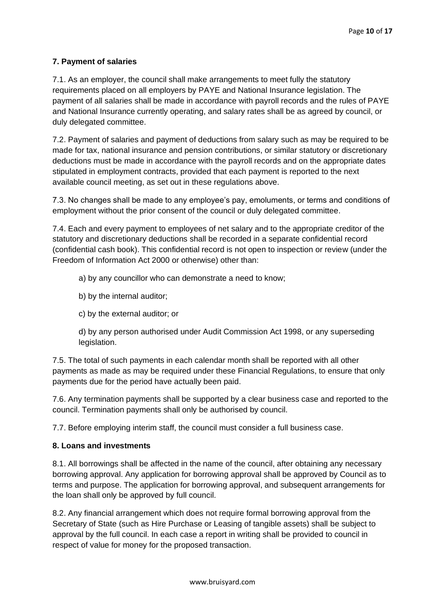# **7. Payment of salaries**

7.1. As an employer, the council shall make arrangements to meet fully the statutory requirements placed on all employers by PAYE and National Insurance legislation. The payment of all salaries shall be made in accordance with payroll records and the rules of PAYE and National Insurance currently operating, and salary rates shall be as agreed by council, or duly delegated committee.

7.2. Payment of salaries and payment of deductions from salary such as may be required to be made for tax, national insurance and pension contributions, or similar statutory or discretionary deductions must be made in accordance with the payroll records and on the appropriate dates stipulated in employment contracts, provided that each payment is reported to the next available council meeting, as set out in these regulations above.

7.3. No changes shall be made to any employee's pay, emoluments, or terms and conditions of employment without the prior consent of the council or duly delegated committee.

7.4. Each and every payment to employees of net salary and to the appropriate creditor of the statutory and discretionary deductions shall be recorded in a separate confidential record (confidential cash book). This confidential record is not open to inspection or review (under the Freedom of Information Act 2000 or otherwise) other than:

a) by any councillor who can demonstrate a need to know;

- b) by the internal auditor;
- c) by the external auditor; or

d) by any person authorised under Audit Commission Act 1998, or any superseding legislation.

7.5. The total of such payments in each calendar month shall be reported with all other payments as made as may be required under these Financial Regulations, to ensure that only payments due for the period have actually been paid.

7.6. Any termination payments shall be supported by a clear business case and reported to the council. Termination payments shall only be authorised by council.

7.7. Before employing interim staff, the council must consider a full business case.

#### **8. Loans and investments**

8.1. All borrowings shall be affected in the name of the council, after obtaining any necessary borrowing approval. Any application for borrowing approval shall be approved by Council as to terms and purpose. The application for borrowing approval, and subsequent arrangements for the loan shall only be approved by full council.

8.2. Any financial arrangement which does not require formal borrowing approval from the Secretary of State (such as Hire Purchase or Leasing of tangible assets) shall be subject to approval by the full council. In each case a report in writing shall be provided to council in respect of value for money for the proposed transaction.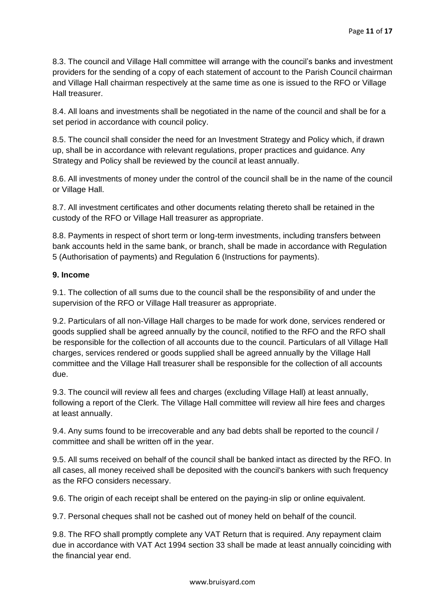8.3. The council and Village Hall committee will arrange with the council's banks and investment providers for the sending of a copy of each statement of account to the Parish Council chairman and Village Hall chairman respectively at the same time as one is issued to the RFO or Village Hall treasurer.

8.4. All loans and investments shall be negotiated in the name of the council and shall be for a set period in accordance with council policy.

8.5. The council shall consider the need for an Investment Strategy and Policy which, if drawn up, shall be in accordance with relevant regulations, proper practices and guidance. Any Strategy and Policy shall be reviewed by the council at least annually.

8.6. All investments of money under the control of the council shall be in the name of the council or Village Hall.

8.7. All investment certificates and other documents relating thereto shall be retained in the custody of the RFO or Village Hall treasurer as appropriate.

8.8. Payments in respect of short term or long-term investments, including transfers between bank accounts held in the same bank, or branch, shall be made in accordance with Regulation 5 (Authorisation of payments) and Regulation 6 (Instructions for payments).

## **9. Income**

9.1. The collection of all sums due to the council shall be the responsibility of and under the supervision of the RFO or Village Hall treasurer as appropriate.

9.2. Particulars of all non-Village Hall charges to be made for work done, services rendered or goods supplied shall be agreed annually by the council, notified to the RFO and the RFO shall be responsible for the collection of all accounts due to the council. Particulars of all Village Hall charges, services rendered or goods supplied shall be agreed annually by the Village Hall committee and the Village Hall treasurer shall be responsible for the collection of all accounts due.

9.3. The council will review all fees and charges (excluding Village Hall) at least annually, following a report of the Clerk. The Village Hall committee will review all hire fees and charges at least annually.

9.4. Any sums found to be irrecoverable and any bad debts shall be reported to the council / committee and shall be written off in the year.

9.5. All sums received on behalf of the council shall be banked intact as directed by the RFO. In all cases, all money received shall be deposited with the council's bankers with such frequency as the RFO considers necessary.

9.6. The origin of each receipt shall be entered on the paying-in slip or online equivalent.

9.7. Personal cheques shall not be cashed out of money held on behalf of the council.

9.8. The RFO shall promptly complete any VAT Return that is required. Any repayment claim due in accordance with VAT Act 1994 section 33 shall be made at least annually coinciding with the financial year end.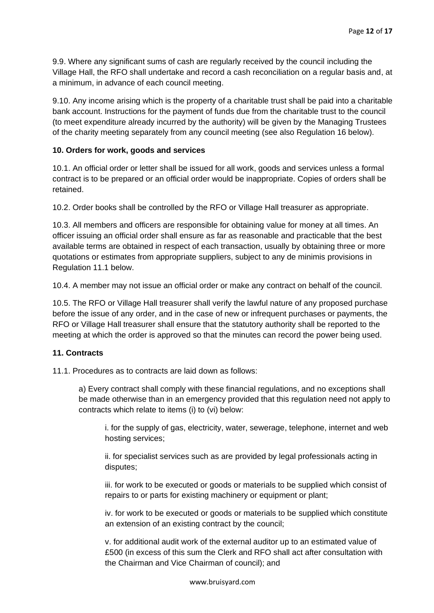9.9. Where any significant sums of cash are regularly received by the council including the Village Hall, the RFO shall undertake and record a cash reconciliation on a regular basis and, at a minimum, in advance of each council meeting.

9.10. Any income arising which is the property of a charitable trust shall be paid into a charitable bank account. Instructions for the payment of funds due from the charitable trust to the council (to meet expenditure already incurred by the authority) will be given by the Managing Trustees of the charity meeting separately from any council meeting (see also Regulation 16 below).

#### **10. Orders for work, goods and services**

10.1. An official order or letter shall be issued for all work, goods and services unless a formal contract is to be prepared or an official order would be inappropriate. Copies of orders shall be retained.

10.2. Order books shall be controlled by the RFO or Village Hall treasurer as appropriate.

10.3. All members and officers are responsible for obtaining value for money at all times. An officer issuing an official order shall ensure as far as reasonable and practicable that the best available terms are obtained in respect of each transaction, usually by obtaining three or more quotations or estimates from appropriate suppliers, subject to any de minimis provisions in Regulation 11.1 below.

10.4. A member may not issue an official order or make any contract on behalf of the council.

10.5. The RFO or Village Hall treasurer shall verify the lawful nature of any proposed purchase before the issue of any order, and in the case of new or infrequent purchases or payments, the RFO or Village Hall treasurer shall ensure that the statutory authority shall be reported to the meeting at which the order is approved so that the minutes can record the power being used.

#### **11. Contracts**

11.1. Procedures as to contracts are laid down as follows:

a) Every contract shall comply with these financial regulations, and no exceptions shall be made otherwise than in an emergency provided that this regulation need not apply to contracts which relate to items (i) to (vi) below:

i. for the supply of gas, electricity, water, sewerage, telephone, internet and web hosting services;

ii. for specialist services such as are provided by legal professionals acting in disputes;

iii. for work to be executed or goods or materials to be supplied which consist of repairs to or parts for existing machinery or equipment or plant;

iv. for work to be executed or goods or materials to be supplied which constitute an extension of an existing contract by the council;

v. for additional audit work of the external auditor up to an estimated value of £500 (in excess of this sum the Clerk and RFO shall act after consultation with the Chairman and Vice Chairman of council); and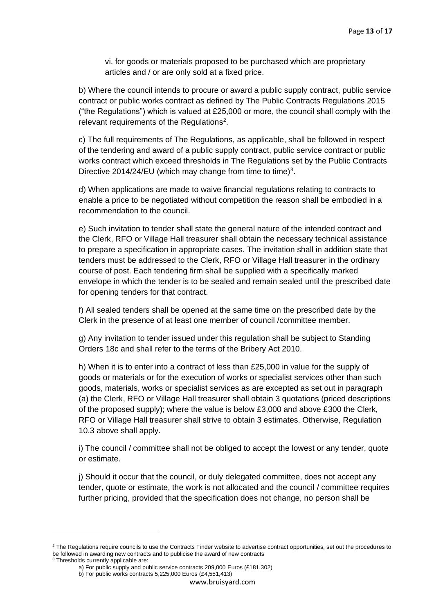vi. for goods or materials proposed to be purchased which are proprietary articles and / or are only sold at a fixed price.

b) Where the council intends to procure or award a public supply contract, public service contract or public works contract as defined by The Public Contracts Regulations 2015 ("the Regulations") which is valued at  $£25,000$  or more, the council shall comply with the relevant requirements of the Regulations<sup>2</sup>.

c) The full requirements of The Regulations, as applicable, shall be followed in respect of the tendering and award of a public supply contract, public service contract or public works contract which exceed thresholds in The Regulations set by the Public Contracts Directive 2014/24/EU (which may change from time to time)<sup>3</sup>.

d) When applications are made to waive financial regulations relating to contracts to enable a price to be negotiated without competition the reason shall be embodied in a recommendation to the council.

e) Such invitation to tender shall state the general nature of the intended contract and the Clerk, RFO or Village Hall treasurer shall obtain the necessary technical assistance to prepare a specification in appropriate cases. The invitation shall in addition state that tenders must be addressed to the Clerk, RFO or Village Hall treasurer in the ordinary course of post. Each tendering firm shall be supplied with a specifically marked envelope in which the tender is to be sealed and remain sealed until the prescribed date for opening tenders for that contract.

f) All sealed tenders shall be opened at the same time on the prescribed date by the Clerk in the presence of at least one member of council /committee member.

g) Any invitation to tender issued under this regulation shall be subject to Standing Orders 18c and shall refer to the terms of the Bribery Act 2010.

h) When it is to enter into a contract of less than £25,000 in value for the supply of goods or materials or for the execution of works or specialist services other than such goods, materials, works or specialist services as are excepted as set out in paragraph (a) the Clerk, RFO or Village Hall treasurer shall obtain 3 quotations (priced descriptions of the proposed supply); where the value is below £3,000 and above £300 the Clerk, RFO or Village Hall treasurer shall strive to obtain 3 estimates. Otherwise, Regulation 10.3 above shall apply.

i) The council / committee shall not be obliged to accept the lowest or any tender, quote or estimate.

j) Should it occur that the council, or duly delegated committee, does not accept any tender, quote or estimate, the work is not allocated and the council / committee requires further pricing, provided that the specification does not change, no person shall be

<sup>&</sup>lt;sup>2</sup> The Regulations require councils to use the Contracts Finder website to advertise contract opportunities, set out the procedures to be followed in awarding new contracts and to publicise the award of new contracts <sup>3</sup> Thresholds currently applicable are:

a) For public supply and public service contracts 209,000 Euros (£181,302) b) For public works contracts 5,225,000 Euros (£4,551,413)

www.bruisyard.com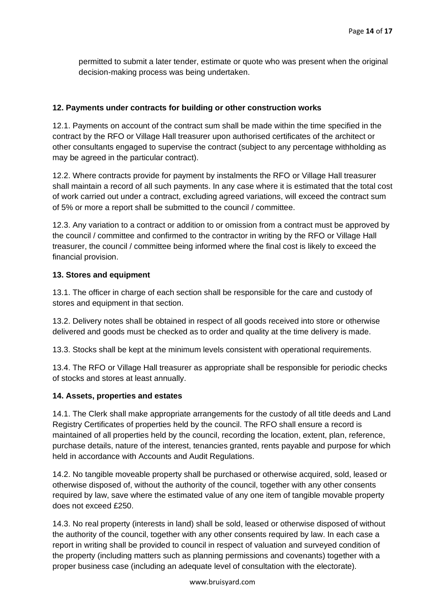permitted to submit a later tender, estimate or quote who was present when the original decision-making process was being undertaken.

## **12. Payments under contracts for building or other construction works**

12.1. Payments on account of the contract sum shall be made within the time specified in the contract by the RFO or Village Hall treasurer upon authorised certificates of the architect or other consultants engaged to supervise the contract (subject to any percentage withholding as may be agreed in the particular contract).

12.2. Where contracts provide for payment by instalments the RFO or Village Hall treasurer shall maintain a record of all such payments. In any case where it is estimated that the total cost of work carried out under a contract, excluding agreed variations, will exceed the contract sum of 5% or more a report shall be submitted to the council / committee.

12.3. Any variation to a contract or addition to or omission from a contract must be approved by the council / committee and confirmed to the contractor in writing by the RFO or Village Hall treasurer, the council / committee being informed where the final cost is likely to exceed the financial provision.

## **13. Stores and equipment**

13.1. The officer in charge of each section shall be responsible for the care and custody of stores and equipment in that section.

13.2. Delivery notes shall be obtained in respect of all goods received into store or otherwise delivered and goods must be checked as to order and quality at the time delivery is made.

13.3. Stocks shall be kept at the minimum levels consistent with operational requirements.

13.4. The RFO or Village Hall treasurer as appropriate shall be responsible for periodic checks of stocks and stores at least annually.

#### **14. Assets, properties and estates**

14.1. The Clerk shall make appropriate arrangements for the custody of all title deeds and Land Registry Certificates of properties held by the council. The RFO shall ensure a record is maintained of all properties held by the council, recording the location, extent, plan, reference, purchase details, nature of the interest, tenancies granted, rents payable and purpose for which held in accordance with Accounts and Audit Regulations.

14.2. No tangible moveable property shall be purchased or otherwise acquired, sold, leased or otherwise disposed of, without the authority of the council, together with any other consents required by law, save where the estimated value of any one item of tangible movable property does not exceed £250.

14.3. No real property (interests in land) shall be sold, leased or otherwise disposed of without the authority of the council, together with any other consents required by law. In each case a report in writing shall be provided to council in respect of valuation and surveyed condition of the property (including matters such as planning permissions and covenants) together with a proper business case (including an adequate level of consultation with the electorate).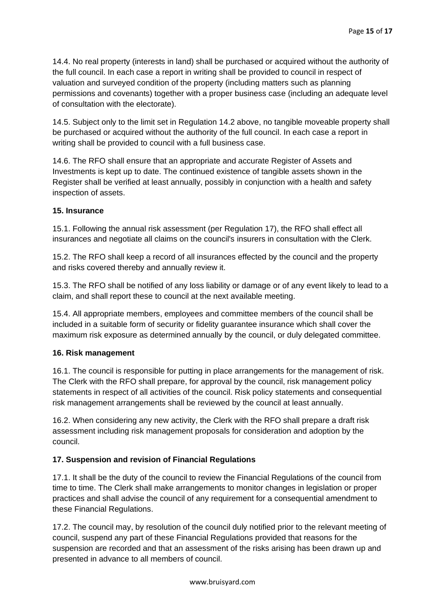14.4. No real property (interests in land) shall be purchased or acquired without the authority of the full council. In each case a report in writing shall be provided to council in respect of valuation and surveyed condition of the property (including matters such as planning permissions and covenants) together with a proper business case (including an adequate level of consultation with the electorate).

14.5. Subject only to the limit set in Regulation 14.2 above, no tangible moveable property shall be purchased or acquired without the authority of the full council. In each case a report in writing shall be provided to council with a full business case.

14.6. The RFO shall ensure that an appropriate and accurate Register of Assets and Investments is kept up to date. The continued existence of tangible assets shown in the Register shall be verified at least annually, possibly in conjunction with a health and safety inspection of assets.

#### **15. Insurance**

15.1. Following the annual risk assessment (per Regulation 17), the RFO shall effect all insurances and negotiate all claims on the council's insurers in consultation with the Clerk.

15.2. The RFO shall keep a record of all insurances effected by the council and the property and risks covered thereby and annually review it.

15.3. The RFO shall be notified of any loss liability or damage or of any event likely to lead to a claim, and shall report these to council at the next available meeting.

15.4. All appropriate members, employees and committee members of the council shall be included in a suitable form of security or fidelity guarantee insurance which shall cover the maximum risk exposure as determined annually by the council, or duly delegated committee.

#### **16. Risk management**

16.1. The council is responsible for putting in place arrangements for the management of risk. The Clerk with the RFO shall prepare, for approval by the council, risk management policy statements in respect of all activities of the council. Risk policy statements and consequential risk management arrangements shall be reviewed by the council at least annually.

16.2. When considering any new activity, the Clerk with the RFO shall prepare a draft risk assessment including risk management proposals for consideration and adoption by the council.

#### **17. Suspension and revision of Financial Regulations**

17.1. It shall be the duty of the council to review the Financial Regulations of the council from time to time. The Clerk shall make arrangements to monitor changes in legislation or proper practices and shall advise the council of any requirement for a consequential amendment to these Financial Regulations.

17.2. The council may, by resolution of the council duly notified prior to the relevant meeting of council, suspend any part of these Financial Regulations provided that reasons for the suspension are recorded and that an assessment of the risks arising has been drawn up and presented in advance to all members of council.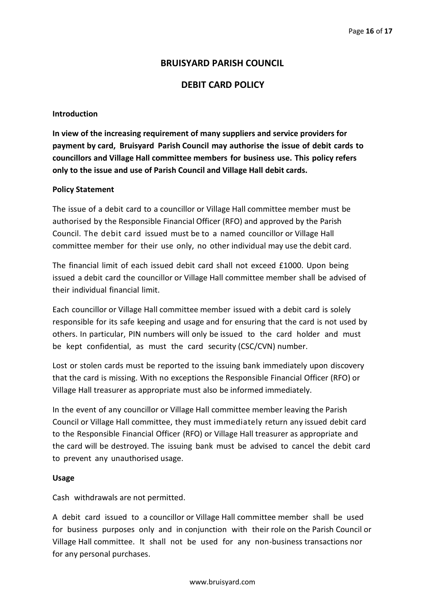# **BRUISYARD PARISH COUNCIL**

# **DEBIT CARD POLICY**

#### **Introduction**

**In view of the increasing requirement of many suppliers and service providers for payment by card, Bruisyard Parish Council may authorise the issue of debit cards to councillors and Village Hall committee members for business use. This policy refers only to the issue and use of Parish Council and Village Hall debit cards.**

#### **Policy Statement**

The issue of a debit card to a councillor or Village Hall committee member must be authorised by the Responsible Financial Officer (RFO) and approved by the Parish Council. The debit card issued must be to a named councillor or Village Hall committee member for their use only, no other individual may use the debit card.

The financial limit of each issued debit card shall not exceed £1000. Upon being issued a debit card the councillor or Village Hall committee member shall be advised of their individual financial limit.

Each councillor or Village Hall committee member issued with a debit card is solely responsible for its safe keeping and usage and for ensuring that the card is not used by others. In particular, PIN numbers will only be issued to the card holder and must be kept confidential, as must the card security (CSC/CVN) number.

Lost or stolen cards must be reported to the issuing bank immediately upon discovery that the card is missing. With no exceptions the Responsible Financial Officer (RFO) or Village Hall treasurer as appropriate must also be informed immediately.

In the event of any councillor or Village Hall committee member leaving the Parish Council or Village Hall committee, they must immediately return any issued debit card to the Responsible Financial Officer (RFO) or Village Hall treasurer as appropriate and the card will be destroyed. The issuing bank must be advised to cancel the debit card to prevent any unauthorised usage.

#### **Usage**

Cash withdrawals are not permitted.

A debit card issued to a councillor or Village Hall committee member shall be used for business purposes only and in conjunction with their role on the Parish Council or Village Hall committee. It shall not be used for any non-business transactions nor for any personal purchases.